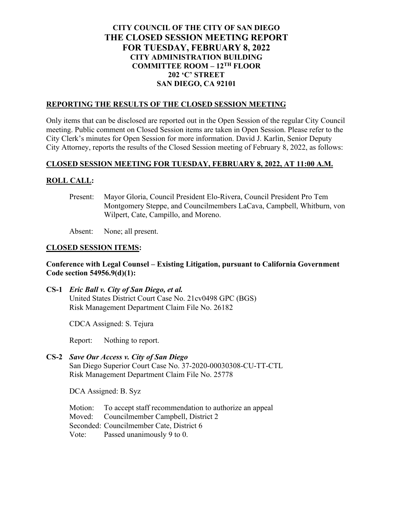# **CITY COUNCIL OF THE CITY OF SAN DIEGO THE CLOSED SESSION MEETING REPORT FOR TUESDAY, FEBRUARY 8, 2022 CITY ADMINISTRATION BUILDING COMMITTEE ROOM – 12TH FLOOR 202 'C' STREET SAN DIEGO, CA 92101**

# **REPORTING THE RESULTS OF THE CLOSED SESSION MEETING**

Only items that can be disclosed are reported out in the Open Session of the regular City Council meeting. Public comment on Closed Session items are taken in Open Session. Please refer to the City Clerk's minutes for Open Session for more information. David J. Karlin, Senior Deputy City Attorney, reports the results of the Closed Session meeting of February 8, 2022, as follows:

# **CLOSED SESSION MEETING FOR TUESDAY, FEBRUARY 8, 2022, AT 11:00 A.M.**

## **ROLL CALL:**

Present: Mayor Gloria, Council President Elo-Rivera, Council President Pro Tem Montgomery Steppe, and Councilmembers LaCava, Campbell, Whitburn, von Wilpert, Cate, Campillo, and Moreno.

Absent: None; all present.

#### **CLOSED SESSION ITEMS:**

## **Conference with Legal Counsel – Existing Litigation, pursuant to California Government Code section 54956.9(d)(1):**

**CS-1** *Eric Ball v. City of San Diego, et al.* United States District Court Case No. 21cv0498 GPC (BGS) Risk Management Department Claim File No. 26182

CDCA Assigned: S. Tejura

Report: Nothing to report.

# **CS-2** *Save Our Access v. City of San Diego* San Diego Superior Court Case No. 37-2020-00030308-CU-TT-CTL

Risk Management Department Claim File No. 25778

DCA Assigned: B. Syz

Motion: To accept staff recommendation to authorize an appeal Moved: Councilmember Campbell, District 2 Seconded: Councilmember Cate, District 6 Vote: Passed unanimously 9 to 0.